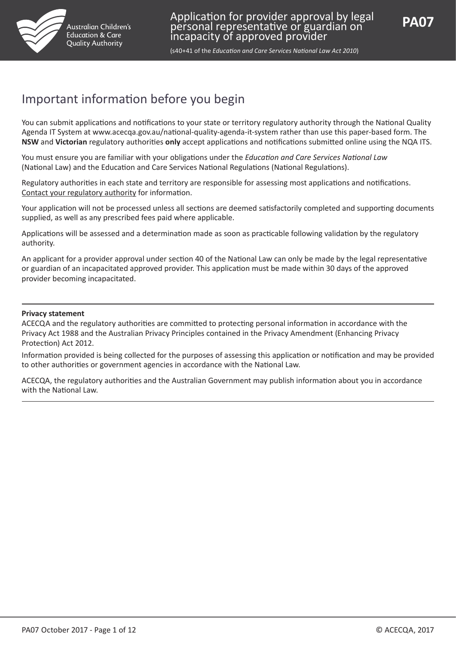

(s40+41 of the *Education and Care Services National Law Act 2010*)

# Important information before you begin

You can submit applications and notifications to your state or territory regulatory authority through the National Quality Agenda IT System at www.acecqa.gov.au/national-quality-agenda-it-system rather than use this paper-based form. The **NSW** and **Victorian** regulatory authorities **only** accept applications and notifications submitted online using the NQA ITS.

You must ensure you are familiar with your obligations under the *Education and Care Services National Law* (National Law) and the Education and Care Services National Regulations (National Regulations).

Regulatory authorities in each state and territory are responsible for assessing most applications and notifications. [Contact your regulatory authority](http://www.acecqa.gov.au/regulatory-authorities1/contact-your-regulatory-authority) for information.

Your application will not be processed unless all sections are deemed satisfactorily completed and supporting documents supplied, as well as any prescribed fees paid where applicable.

Applications will be assessed and a determination made as soon as practicable following validation by the regulatory authority.

An applicant for a provider approval under section 40 of the National Law can only be made by the legal representative or guardian of an incapacitated approved provider. This application must be made within 30 days of the approved provider becoming incapacitated.

#### **Privacy statement**

ACECQA and the regulatory authorities are committed to protecting personal information in accordance with the Privacy Act 1988 and the Australian Privacy Principles contained in the Privacy Amendment (Enhancing Privacy Protection) Act 2012.

Information provided is being collected for the purposes of assessing this application or notification and may be provided to other authorities or government agencies in accordance with the National Law.

ACECQA, the regulatory authorities and the Australian Government may publish information about you in accordance with the National Law.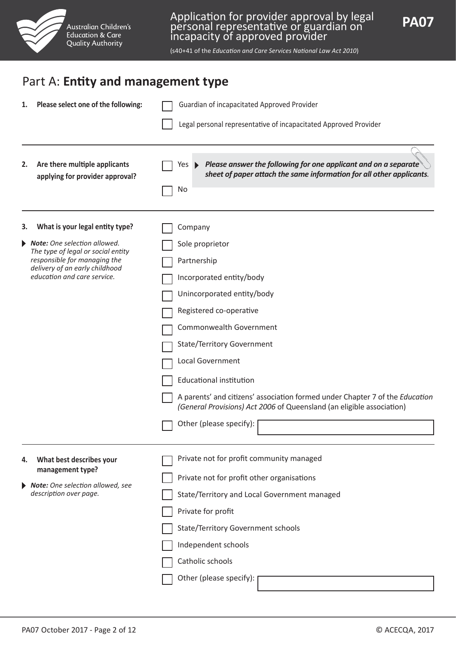

## Part A: **Entity and management type**

| 1. | Please select one of the following:                                                                                                                                 | Guardian of incapacitated Approved Provider                                                                                                                                                                                                                                                                                                                                                                                   |
|----|---------------------------------------------------------------------------------------------------------------------------------------------------------------------|-------------------------------------------------------------------------------------------------------------------------------------------------------------------------------------------------------------------------------------------------------------------------------------------------------------------------------------------------------------------------------------------------------------------------------|
|    |                                                                                                                                                                     | Legal personal representative of incapacitated Approved Provider                                                                                                                                                                                                                                                                                                                                                              |
| 2. | Are there multiple applicants<br>applying for provider approval?                                                                                                    | Please answer the following for one applicant and on a separate<br>Yes $\blacktriangleright$<br>sheet of paper attach the same information for all other applicants.<br>No                                                                                                                                                                                                                                                    |
| з. | What is your legal entity type?                                                                                                                                     | Company                                                                                                                                                                                                                                                                                                                                                                                                                       |
|    | Note: One selection allowed.<br>The type of legal or social entity<br>responsible for managing the<br>delivery of an early childhood<br>education and care service. | Sole proprietor<br>Partnership<br>Incorporated entity/body<br>Unincorporated entity/body<br>Registered co-operative<br>Commonwealth Government<br><b>State/Territory Government</b><br>Local Government<br><b>Educational institution</b><br>A parents' and citizens' association formed under Chapter 7 of the Education<br>(General Provisions) Act 2006 of Queensland (an eligible association)<br>Other (please specify): |
| 4. | What best describes your<br>management type?<br>Note: One selection allowed, see<br>description over page.                                                          | Private not for profit community managed<br>Private not for profit other organisations<br>State/Territory and Local Government managed<br>Private for profit<br><b>State/Territory Government schools</b><br>Independent schools<br>Catholic schools<br>Other (please specify):                                                                                                                                               |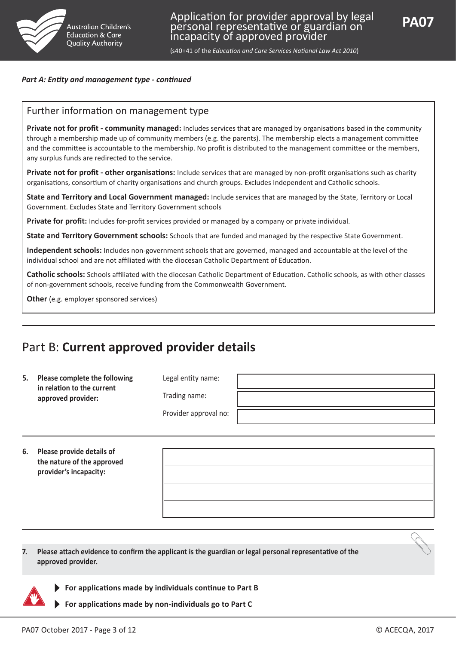

#### *Part A: Entity and management type - continued*

### Further information on management type

**Private not for profit - community managed:** Includes services that are managed by organisations based in the community through a membership made up of community members (e.g. the parents). The membership elects a management committee and the committee is accountable to the membership. No profit is distributed to the management committee or the members, any surplus funds are redirected to the service.

**Private not for profit - other organisations:** Include services that are managed by non-profit organisations such as charity organisations, consortium of charity organisations and church groups. Excludes Independent and Catholic schools.

**State and Territory and Local Government managed:** Include services that are managed by the State, Territory or Local Government. Excludes State and Territory Government schools

**Private for profit:** Includes for-profit services provided or managed by a company or private individual.

**State and Territory Government schools:** Schools that are funded and managed by the respective State Government.

**Independent schools:** Includes non-government schools that are governed, managed and accountable at the level of the individual school and are not affiliated with the diocesan Catholic Department of Education.

**Catholic schools:** Schools affiliated with the diocesan Catholic Department of Education. Catholic schools, as with other classes of non-government schools, receive funding from the Commonwealth Government.

**Other** (e.g. employer sponsored services)

## Part B: **Current approved provider details**

| 5. | Please complete the following<br>in relation to the current<br>approved provider: | Legal entity name:    |  |
|----|-----------------------------------------------------------------------------------|-----------------------|--|
|    |                                                                                   | Trading name:         |  |
|    |                                                                                   | Provider approval no: |  |
|    |                                                                                   |                       |  |

**6. Please provide details of the nature of the approved provider's incapacity:** 

**7. Please attach evidence to confirm the applicant is the guardian or legal personal representative of the approved provider.**



- **For applications made by individuals continue to Part B**
- **For applications made by non-individuals go to Part C**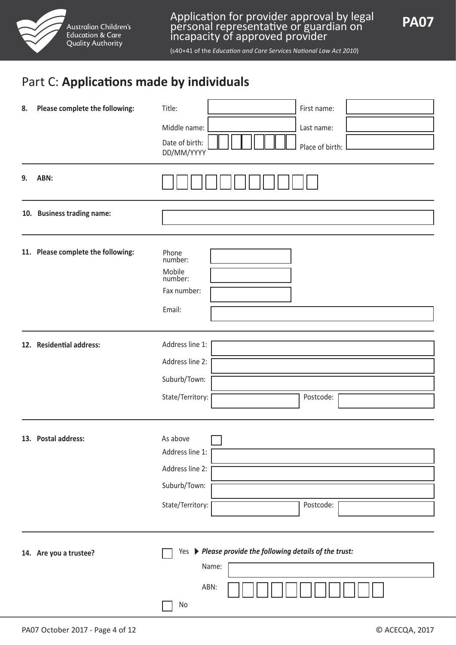

## Part C: **Applications made by individuals**

| 8. | Please complete the following:     | Title:<br>First name:<br>Middle name:<br>Last name:<br>Date of birth:<br>Place of birth:<br>DD/MM/YYYY |
|----|------------------------------------|--------------------------------------------------------------------------------------------------------|
| 9. | ABN:                               |                                                                                                        |
|    | 10. Business trading name:         |                                                                                                        |
|    | 11. Please complete the following: | Phone<br>number:<br>Mobile<br>number:<br>Fax number:<br>Email:                                         |
|    | 12. Residential address:           | Address line 1:<br>Address line 2:<br>Suburb/Town:<br>State/Territory:<br>Postcode:                    |
|    | 13. Postal address:                | As above<br>Address line 1:<br>Address line 2:<br>Suburb/Town:<br>State/Territory:<br>Postcode:        |
|    | 14. Are you a trustee?             | Yes > Please provide the following details of the trust:<br>Name:<br>ABN:<br>No                        |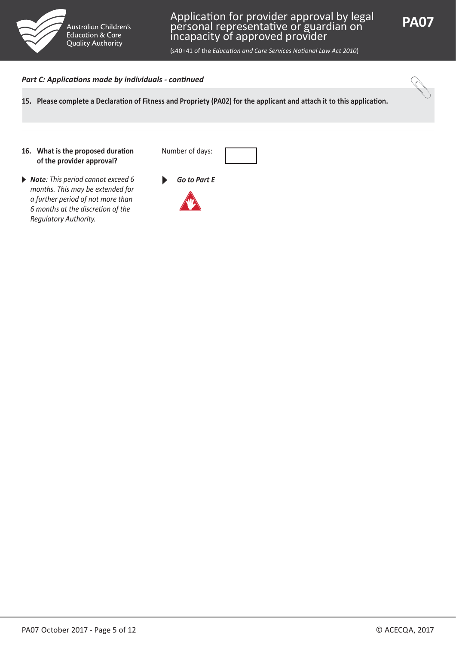



(s40+41 of the *Education and Care Services National Law Act 2010*)

#### *Part C: Applications made by individuals - continued*

**15. Please complete a Declaration of Fitness and Propriety (PA02) for the applicant and attach it to this application.**

#### **16. What is the proposed duration of the provider approval?**

◆ **Note**: This period cannot exceed 6 **6 Go to Part E** *months. This may be extended for a further period of not more than 6 months at the discretion of the Regulatory Authority.*



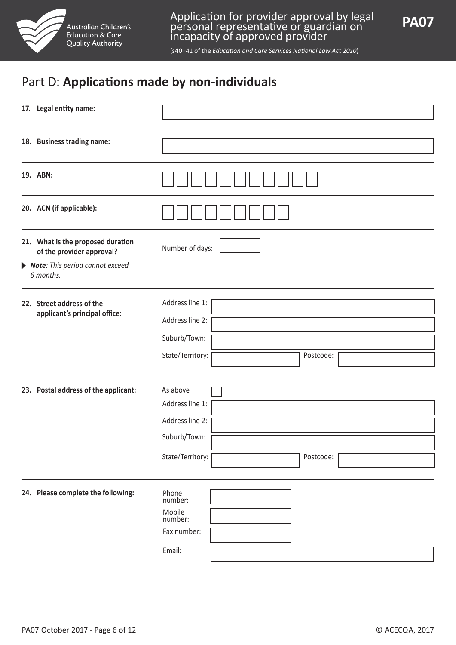

# Part D: **Applications made by non-individuals**

| 17. Legal entity name:                                         |                                                                                                 |  |  |
|----------------------------------------------------------------|-------------------------------------------------------------------------------------------------|--|--|
| 18. Business trading name:                                     |                                                                                                 |  |  |
| 19. ABN:                                                       |                                                                                                 |  |  |
| 20. ACN (if applicable):                                       |                                                                                                 |  |  |
| 21. What is the proposed duration<br>of the provider approval? | Number of days:                                                                                 |  |  |
| Note: This period cannot exceed<br>6 months.                   |                                                                                                 |  |  |
| 22. Street address of the<br>applicant's principal office:     | Address line 1:<br>Address line 2:<br>Suburb/Town:<br>State/Territory:<br>Postcode:             |  |  |
| 23. Postal address of the applicant:                           | As above<br>Address line 1:<br>Address line 2:<br>Suburb/Town:<br>Postcode:<br>State/Territory: |  |  |
| 24. Please complete the following:                             | Phone<br>number:<br>Mobile<br>number:<br>Fax number:<br>Email:                                  |  |  |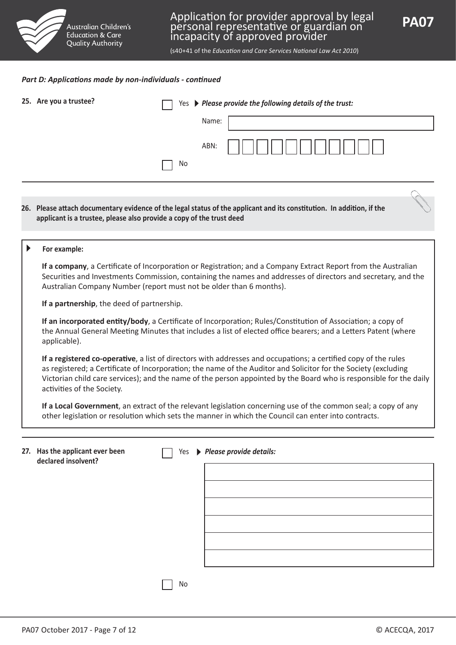

(s40+41 of the *Education and Care Services National Law Act 2010*)

#### *Part D: Applications made by non-individuals - continued*

| 25. Are you a trustee?                                               | Yes | $\blacktriangleright$ Please provide the following details of the trust:                                                                                                                                                                                                                                                                                 |
|----------------------------------------------------------------------|-----|----------------------------------------------------------------------------------------------------------------------------------------------------------------------------------------------------------------------------------------------------------------------------------------------------------------------------------------------------------|
|                                                                      |     | Name:                                                                                                                                                                                                                                                                                                                                                    |
|                                                                      | Νo  | ABN:                                                                                                                                                                                                                                                                                                                                                     |
| applicant is a trustee, please also provide a copy of the trust deed |     | 26. Please attach documentary evidence of the legal status of the applicant and its constitution. In addition, if the                                                                                                                                                                                                                                    |
| For example:                                                         |     |                                                                                                                                                                                                                                                                                                                                                          |
| Australian Company Number (report must not be older than 6 months).  |     | If a company, a Certificate of Incorporation or Registration; and a Company Extract Report from the Australian<br>Securities and Investments Commission, containing the names and addresses of directors and secretary, and the                                                                                                                          |
| If a partnership, the deed of partnership.                           |     |                                                                                                                                                                                                                                                                                                                                                          |
| applicable).                                                         |     | If an incorporated entity/body, a Certificate of Incorporation; Rules/Constitution of Association; a copy of<br>the Annual General Meeting Minutes that includes a list of elected office bearers; and a Letters Patent (where                                                                                                                           |
| activities of the Society.                                           |     | If a registered co-operative, a list of directors with addresses and occupations; a certified copy of the rules<br>as registered; a Certificate of Incorporation; the name of the Auditor and Solicitor for the Society (excluding<br>Victorian child care services); and the name of the person appointed by the Board who is responsible for the daily |
|                                                                      |     | If a Local Government, an extract of the relevant legislation concerning use of the common seal; a copy of any<br>other legislation or resolution which sets the manner in which the Council can enter into contracts.                                                                                                                                   |
|                                                                      |     |                                                                                                                                                                                                                                                                                                                                                          |
| 27. Has the applicant ever been<br>declared insolvent?               | Yes | Please provide details:                                                                                                                                                                                                                                                                                                                                  |
|                                                                      |     |                                                                                                                                                                                                                                                                                                                                                          |
|                                                                      |     |                                                                                                                                                                                                                                                                                                                                                          |
|                                                                      |     |                                                                                                                                                                                                                                                                                                                                                          |
|                                                                      |     |                                                                                                                                                                                                                                                                                                                                                          |
|                                                                      |     |                                                                                                                                                                                                                                                                                                                                                          |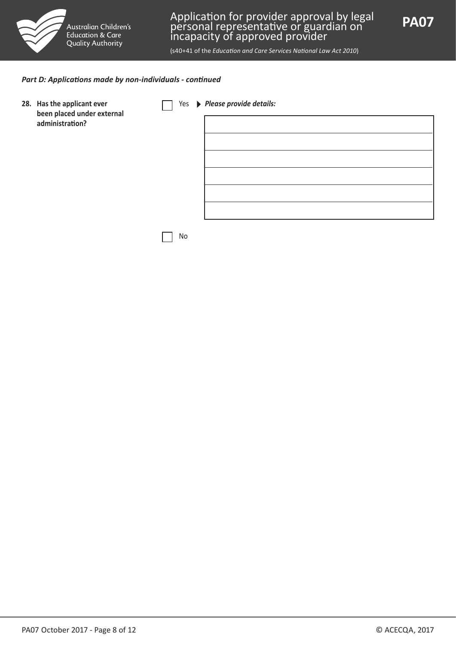



(s40+41 of the *Education and Care Services National Law Act 2010*)

#### *Part D: Applications made by non-individuals - continued*

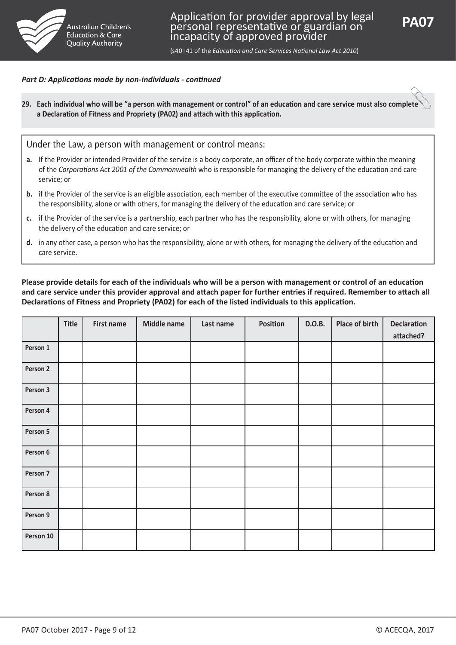

#### *Part D: Applications made by non-individuals - continued*

**29. Each individual who will be "a person with management or control" of an education and care service must also complete a Declaration of Fitness and Propriety (PA02) and attach with this application.**

Under the Law, a person with management or control means:

- **a.** If the Provider or intended Provider of the service is a body corporate, an officer of the body corporate within the meaning of the *Corporations Act 2001 of the Commonwealth* who is responsible for managing the delivery of the education and care service; or
- **b.** if the Provider of the service is an eligible association, each member of the executive committee of the association who has the responsibility, alone or with others, for managing the delivery of the education and care service; or
- **c.** if the Provider of the service is a partnership, each partner who has the responsibility, alone or with others, for managing the delivery of the education and care service; or
- **d.** in any other case, a person who has the responsibility, alone or with others, for managing the delivery of the education and care service.

#### **Please provide details for each of the individuals who will be a person with management or control of an education and care service under this provider approval and attach paper for further entries if required. Remember to attach all Declarations of Fitness and Propriety (PA02) for each of the listed individuals to this application.**

|           | Title | <b>First name</b> | <b>Middle name</b> | Last name | Position | D.O.B. | Place of birth | <b>Declaration</b> |
|-----------|-------|-------------------|--------------------|-----------|----------|--------|----------------|--------------------|
|           |       |                   |                    |           |          |        |                | attached?          |
| Person 1  |       |                   |                    |           |          |        |                |                    |
| Person 2  |       |                   |                    |           |          |        |                |                    |
| Person 3  |       |                   |                    |           |          |        |                |                    |
| Person 4  |       |                   |                    |           |          |        |                |                    |
| Person 5  |       |                   |                    |           |          |        |                |                    |
| Person 6  |       |                   |                    |           |          |        |                |                    |
| Person 7  |       |                   |                    |           |          |        |                |                    |
| Person 8  |       |                   |                    |           |          |        |                |                    |
| Person 9  |       |                   |                    |           |          |        |                |                    |
| Person 10 |       |                   |                    |           |          |        |                |                    |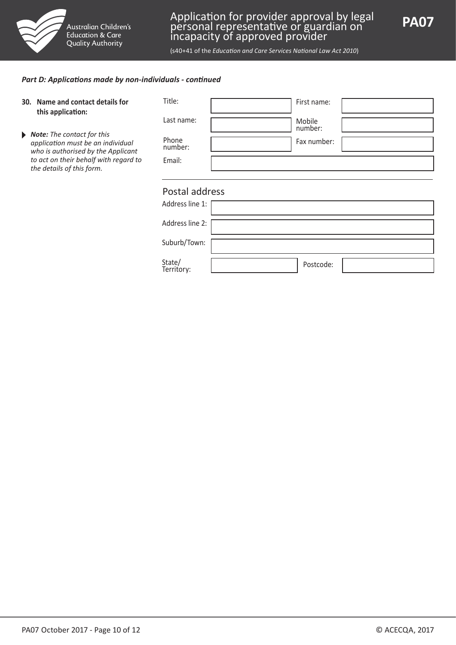



(s40+41 of the *Education and Care Services National Law Act 2010*)

#### *Part D: Applications made by non-individuals - continued*

| Name and contact details for<br>30.<br>this application:                                              | Title:               | First name:       |
|-------------------------------------------------------------------------------------------------------|----------------------|-------------------|
|                                                                                                       | Last name:           | Mobile<br>number: |
| Note: The contact for this<br>application must be an individual<br>who is authorised by the Applicant | Phone<br>number:     | Fax number:       |
| to act on their behalf with regard to<br>the details of this form.                                    | Email:               |                   |
|                                                                                                       |                      |                   |
|                                                                                                       | Postal address       |                   |
|                                                                                                       | Address line 1:      |                   |
|                                                                                                       | Address line 2:      |                   |
|                                                                                                       | Suburb/Town:         |                   |
|                                                                                                       | State/<br>Territory: | Postcode:         |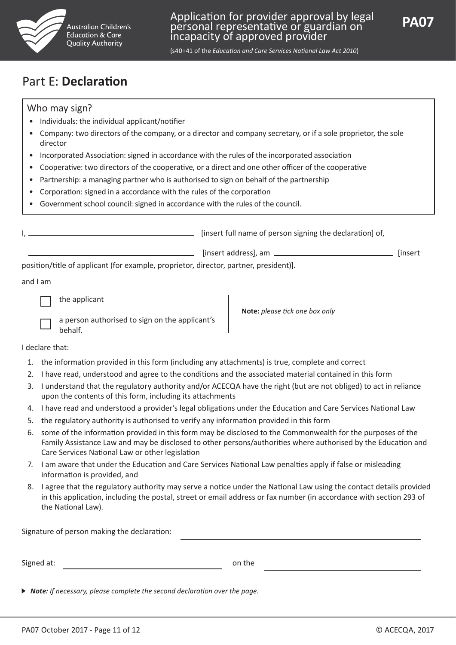

(s40+41 of the *Education and Care Services National Law Act 2010*)

## Part E: **Declaration**

### Who may sign?

- Individuals: the individual applicant/notifier
- Company: two directors of the company, or a director and company secretary, or if a sole proprietor, the sole director
- Incorporated Association: signed in accordance with the rules of the incorporated association
- Cooperative: two directors of the cooperative, or a direct and one other officer of the cooperative
- Partnership: a managing partner who is authorised to sign on behalf of the partnership
- Corporation: signed in a accordance with the rules of the corporation
- Government school council: signed in accordance with the rules of the council.

|                                                                                | [insert full name of person signing the declaration] of, |         |
|--------------------------------------------------------------------------------|----------------------------------------------------------|---------|
|                                                                                | [insert address], am _____                               | linsert |
| nosition/title of annicant (for example proprietor director partner president) |                                                          |         |

position/title of applicant (for example, proprietor, director, partner, president)].

and I am

the applicant

| a person authorised to sign on the applicant's |  |
|------------------------------------------------|--|
| behalf.                                        |  |

**Note:** *please tick one box only*

I declare that:

- 1. the information provided in this form (including any attachments) is true, complete and correct
- 2. I have read, understood and agree to the conditions and the associated material contained in this form
- 3. I understand that the regulatory authority and/or ACECQA have the right (but are not obliged) to act in reliance upon the contents of this form, including its attachments
- 4. I have read and understood a provider's legal obligations under the Education and Care Services National Law
- 5. the regulatory authority is authorised to verify any information provided in this form
- 6. some of the information provided in this form may be disclosed to the Commonwealth for the purposes of the Family Assistance Law and may be disclosed to other persons/authorities where authorised by the Education and Care Services National Law or other legislation
- 7. I am aware that under the Education and Care Services National Law penalties apply if false or misleading information is provided, and
- 8. I agree that the regulatory authority may serve a notice under the National Law using the contact details provided in this application, including the postal, street or email address or fax number (in accordance with section 293 of the National Law).

| Signature of person making the declaration: |        |  |
|---------------------------------------------|--------|--|
|                                             |        |  |
| Signed at:                                  | on the |  |

*Note: If necessary, please complete the second declaration over the page.*